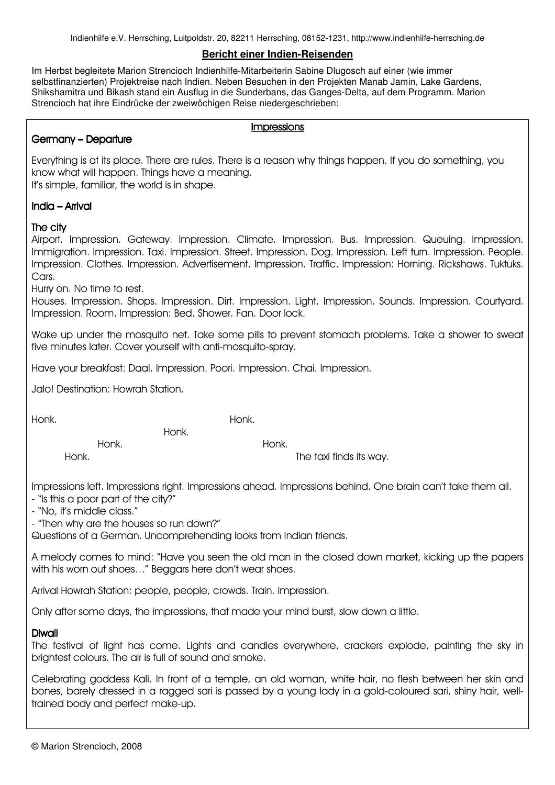Indienhilfe e.V. Herrsching, Luitpoldstr. 20, 82211 Herrsching, 08152-1231, http://www.indienhilfe-herrsching.de

### **Bericht einer Indien-Reisenden**

Im Herbst begleitete Marion Strencioch Indienhilfe-Mitarbeiterin Sabine Dlugosch auf einer (wie immer selbstfinanzierten) Projektreise nach Indien. Neben Besuchen in den Projekten Manab Jamin, Lake Gardens, Shikshamitra und Bikash stand ein Ausflug in die Sunderbans, das Ganges-Delta, auf dem Programm. Marion Strencioch hat ihre Eindrücke der zweiwöchigen Reise niedergeschrieben:

#### **Impressions**

# Germany – Departure

Everything is at its place. There are rules. There is a reason why things happen. If you do something, you know what will happen. Things have a meaning. It's simple, familiar, the world is in shape.

## $India - Arrival$

# The city

Airport. Impression. Gateway. Impression. Climate. Impression. Bus. Impression. Queuing. Impression. Immigration. Impression. Taxi. Impression. Street. Impression. Dog. Impression. Left turn. Impression. People. Impression. Clothes. Impression. Advertisement. Impression. Traffic. Impression: Horning. Rickshaws. Tuktuks. Cars.

Hurry on. No time to rest.

Houses. Impression. Shops. Impression. Dirt. Impression. Light. Impression. Sounds. Impression. Courtyard. Impression. Room. Impression: Bed. Shower. Fan. Door lock.

Wake up under the mosquito net. Take some pills to prevent stomach problems. Take a shower to sweat five minutes later. Cover yourself with anti-mosquito-spray.

Have your breakfast: Daal. Impression. Poori. Impression. Chai. Impression.

Jalo! Destination: Howrah Station.

Honk. Honk.

Honk. Honk.

Honk. The taxi finds its way.

Impressions left. Impressions right. Impressions ahead. Impressions behind. One brain can't take them all.

- "Is this a poor part of the city?"

- "No, it's middle class."

- "Then why are the houses so run down?"

Questions of a German. Uncomprehending looks from Indian friends.

Honk.

A melody comes to mind: "Have you seen the old man in the closed down market, kicking up the papers with his worn out shoes..." Beggars here don't wear shoes.

Arrival Howrah Station: people, people, crowds. Train. Impression.

Only after some days, the impressions, that made your mind burst, slow down a little.

### Diwali

The festival of light has come. Lights and candles everywhere, crackers explode, painting the sky in brightest colours. The air is full of sound and smoke.

Celebrating goddess Kali. In front of a temple, an old woman, white hair, no flesh between her skin and bones, barely dressed in a ragged sari is passed by a young lady in a gold-coloured sari, shiny hair, welltrained body and perfect make-up.